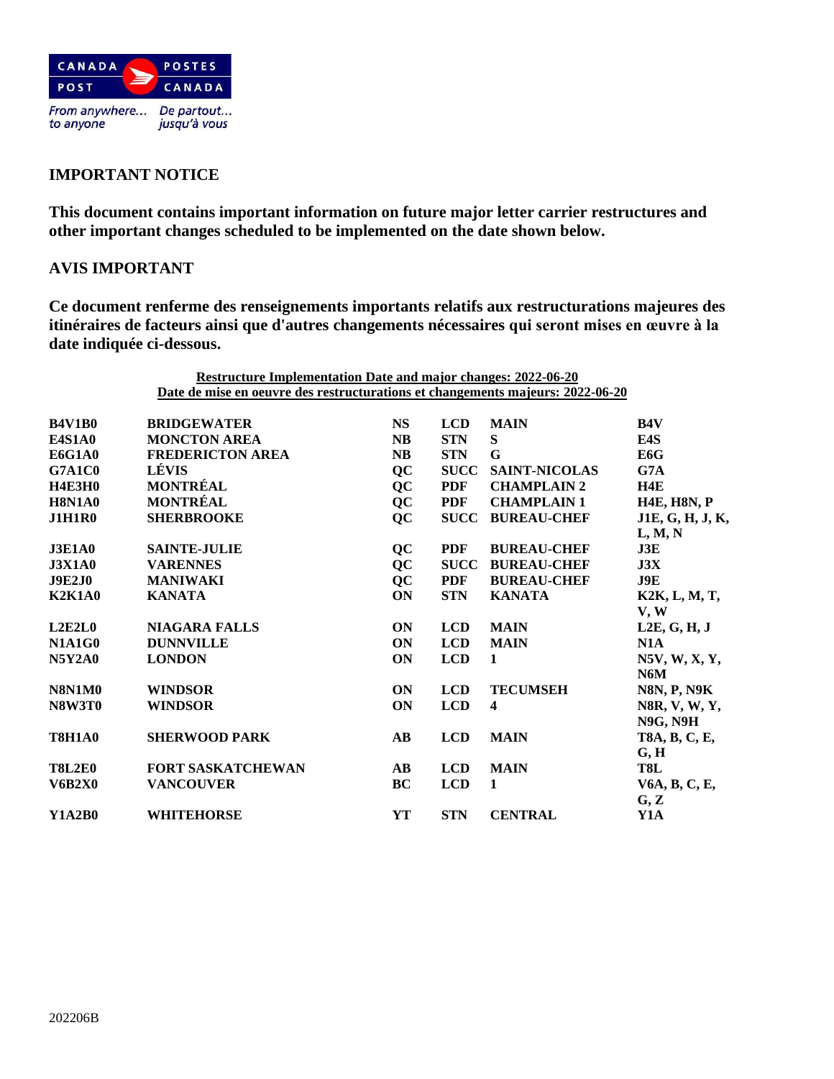

# **IMPORTANT NOTICE**

**This document contains important information on future major letter carrier restructures and other important changes scheduled to be implemented on the date shown below.**

## **AVIS IMPORTANT**

**Ce document renferme des renseignements importants relatifs aux restructurations majeures des itinéraires de facteurs ainsi que d'autres changements nécessaires qui seront mises en œuvre à la date indiquée ci-dessous.**

|                                                                                | <b>Restructure Implementation Date and major changes: 2022-06-20</b> |                        |             |                         |                                          |  |  |
|--------------------------------------------------------------------------------|----------------------------------------------------------------------|------------------------|-------------|-------------------------|------------------------------------------|--|--|
| Date de mise en oeuvre des restructurations et changements majeurs: 2022-06-20 |                                                                      |                        |             |                         |                                          |  |  |
| <b>B4V1B0</b>                                                                  | <b>BRIDGEWATER</b>                                                   | <b>NS</b>              | <b>LCD</b>  | <b>MAIN</b>             | <b>B4V</b>                               |  |  |
| <b>E4S1A0</b>                                                                  | <b>MONCTON AREA</b>                                                  | <b>NB</b>              | <b>STN</b>  | S                       | E4S                                      |  |  |
| <b>E6G1A0</b>                                                                  | <b>FREDERICTON AREA</b>                                              | <b>NB</b>              | <b>STN</b>  | G                       | E6G                                      |  |  |
| <b>G7A1C0</b>                                                                  | LÉVIS                                                                | QC                     | <b>SUCC</b> | <b>SAINT-NICOLAS</b>    | G7A                                      |  |  |
| <b>H4E3H0</b>                                                                  | <b>MONTRÉAL</b>                                                      | QC                     | <b>PDF</b>  | <b>CHAMPLAIN 2</b>      | H4E                                      |  |  |
| <b>H8N1A0</b>                                                                  | <b>MONTRÉAL</b>                                                      | QC                     | <b>PDF</b>  | <b>CHAMPLAIN1</b>       | <b>H4E, H8N, P</b>                       |  |  |
| <b>J1H1R0</b>                                                                  | <b>SHERBROOKE</b>                                                    | QC                     | <b>SUCC</b> | <b>BUREAU-CHEF</b>      | J1E, G, H, J, K,                         |  |  |
|                                                                                |                                                                      |                        |             |                         | L, M, N                                  |  |  |
| <b>J3E1A0</b>                                                                  | <b>SAINTE-JULIE</b>                                                  | QC                     | <b>PDF</b>  | <b>BUREAU-CHEF</b>      | J3E                                      |  |  |
| <b>J3X1A0</b>                                                                  | <b>VARENNES</b>                                                      | QC                     | <b>SUCC</b> | <b>BUREAU-CHEF</b>      | J3X                                      |  |  |
| <b>J9E2J0</b>                                                                  | <b>MANIWAKI</b>                                                      | QC                     | <b>PDF</b>  | <b>BUREAU-CHEF</b>      | J9E                                      |  |  |
| <b>K2K1A0</b>                                                                  | <b>KANATA</b>                                                        | <b>ON</b>              | <b>STN</b>  | <b>KANATA</b>           | K2K, L, M, T,<br>V, W                    |  |  |
| L2E2L0                                                                         | <b>NIAGARA FALLS</b>                                                 | ON                     | <b>LCD</b>  | <b>MAIN</b>             | L2E, G, H, J                             |  |  |
| <b>N1A1G0</b>                                                                  | <b>DUNNVILLE</b>                                                     | <b>ON</b>              | <b>LCD</b>  | <b>MAIN</b>             | N1A                                      |  |  |
| <b>N5Y2A0</b>                                                                  | <b>LONDON</b>                                                        | <b>ON</b>              | <b>LCD</b>  | 1                       | N5V, W, X, Y,<br>N6M                     |  |  |
| <b>N8N1M0</b>                                                                  | <b>WINDSOR</b>                                                       | <b>ON</b>              | <b>LCD</b>  | <b>TECUMSEH</b>         | <b>N8N, P, N9K</b>                       |  |  |
| <b>N8W3T0</b>                                                                  | <b>WINDSOR</b>                                                       | ON                     | <b>LCD</b>  | $\overline{\mathbf{4}}$ | N8R, V, W, Y,<br><b>N9G, N9H</b>         |  |  |
| <b>T8H1A0</b>                                                                  | <b>SHERWOOD PARK</b>                                                 | $\mathbf{A}\mathbf{B}$ | <b>LCD</b>  | <b>MAIN</b>             | T8A, B, C, E,<br>$\mathbf{G},\mathbf{H}$ |  |  |
| <b>T8L2E0</b>                                                                  | <b>FORT SASKATCHEWAN</b>                                             | $\bf AB$               | <b>LCD</b>  | <b>MAIN</b>             | T8L                                      |  |  |
| <b>V6B2X0</b>                                                                  | <b>VANCOUVER</b>                                                     | BC                     | <b>LCD</b>  | $\mathbf{1}$            | V6A, B, C, E,<br>G, Z                    |  |  |
| <b>Y1A2B0</b>                                                                  | <b>WHITEHORSE</b>                                                    | YT                     | <b>STN</b>  | <b>CENTRAL</b>          | Y1A                                      |  |  |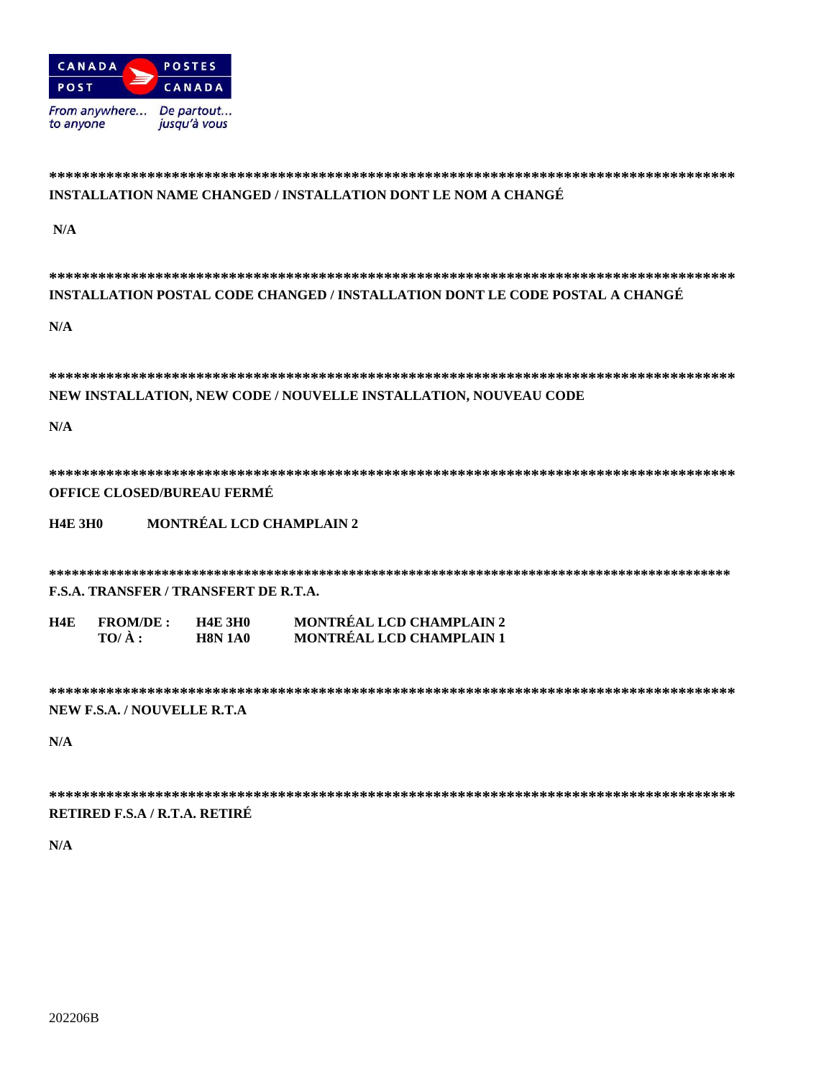

### INSTALLATION NAME CHANGED / INSTALLATION DONT LE NOM A CHANGÉ

 $N/A$ 

| INSTALLATION POSTAL CODE CHANGED / INSTALLATION DONT LE CODE POSTAL A CHANGÉ |                 |                          |                                 |  |  |  |  |
|------------------------------------------------------------------------------|-----------------|--------------------------|---------------------------------|--|--|--|--|
| N/A                                                                          |                 |                          |                                 |  |  |  |  |
|                                                                              |                 |                          |                                 |  |  |  |  |
|                                                                              |                 |                          |                                 |  |  |  |  |
| NEW INSTALLATION, NEW CODE / NOUVELLE INSTALLATION, NOUVEAU CODE             |                 |                          |                                 |  |  |  |  |
|                                                                              |                 |                          |                                 |  |  |  |  |
| N/A                                                                          |                 |                          |                                 |  |  |  |  |
|                                                                              |                 |                          |                                 |  |  |  |  |
|                                                                              |                 |                          |                                 |  |  |  |  |
| <b>OFFICE CLOSED/BUREAU FERMÉ</b>                                            |                 |                          |                                 |  |  |  |  |
|                                                                              |                 |                          |                                 |  |  |  |  |
| <b>H4E 3H0</b>                                                               |                 | MONTRÉAL LCD CHAMPLAIN 2 |                                 |  |  |  |  |
|                                                                              |                 |                          |                                 |  |  |  |  |
|                                                                              |                 |                          |                                 |  |  |  |  |
| <b>F.S.A. TRANSFER / TRANSFERT DE R.T.A.</b>                                 |                 |                          |                                 |  |  |  |  |
| H4E                                                                          | <b>FROM/DE:</b> | <b>H4E 3H0</b>           | <b>MONTRÉAL LCD CHAMPLAIN 2</b> |  |  |  |  |
|                                                                              | $TO/A$ :        | <b>H8N 1A0</b>           | MONTRÉAL LCD CHAMPLAIN 1        |  |  |  |  |
|                                                                              |                 |                          |                                 |  |  |  |  |
|                                                                              |                 |                          |                                 |  |  |  |  |
|                                                                              |                 |                          |                                 |  |  |  |  |
| NEW F.S.A. / NOUVELLE R.T.A                                                  |                 |                          |                                 |  |  |  |  |
| N/A                                                                          |                 |                          |                                 |  |  |  |  |
|                                                                              |                 |                          |                                 |  |  |  |  |
|                                                                              |                 |                          |                                 |  |  |  |  |
|                                                                              |                 |                          |                                 |  |  |  |  |

RETIRED F.S.A / R.T.A. RETIRÉ

 $N/A$